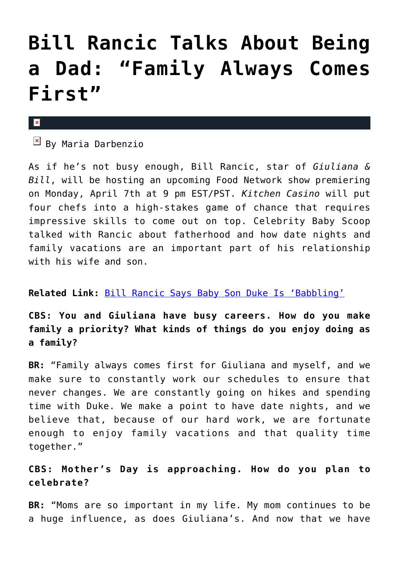# **[Bill Rancic Talks About Being](https://cupidspulse.com/73192/bill-rancic-talks-about-being-a-dad/) [a Dad: "Family Always Comes](https://cupidspulse.com/73192/bill-rancic-talks-about-being-a-dad/) [First"](https://cupidspulse.com/73192/bill-rancic-talks-about-being-a-dad/)**

#### $\mathbf x$

 $\overline{B}$  By Maria Darbenzio

As if he's not busy enough, Bill Rancic, star of *Giuliana & Bill*, will be hosting an upcoming Food Network show premiering on Monday, April 7th at 9 pm EST/PST. *Kitchen Casino* will put four chefs into a high-stakes game of chance that requires impressive skills to come out on top. Celebrity Baby Scoop talked with Rancic about fatherhood and how date nights and family vacations are an important part of his relationship with his wife and son.

#### **Related Link:** [Bill Rancic Says Baby Son Duke Is 'Babbling'](http://cupidspulse.com/bill-rancic-son-duke-babbling/)

**CBS: You and Giuliana have busy careers. How do you make family a priority? What kinds of things do you enjoy doing as a family?**

**BR:** "Family always comes first for Giuliana and myself, and we make sure to constantly work our schedules to ensure that never changes. We are constantly going on hikes and spending time with Duke. We make a point to have date nights, and we believe that, because of our hard work, we are fortunate enough to enjoy family vacations and that quality time together."

#### **CBS: Mother's Day is approaching. How do you plan to celebrate?**

**BR:** "Moms are so important in my life. My mom continues to be a huge influence, as does Giuliana's. And now that we have